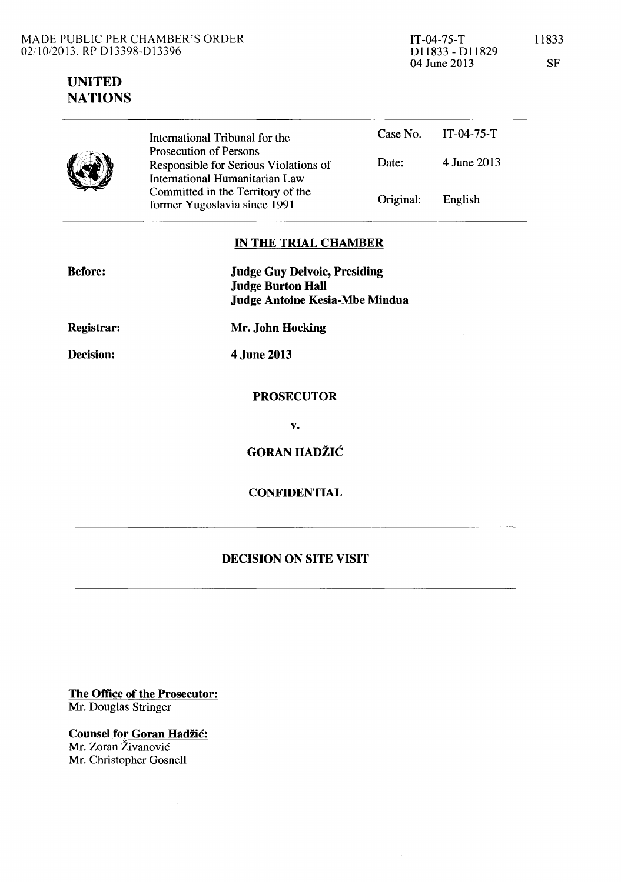# **UNITED NATIONS**

International Tribunal for the Prosecution of Persons Case No. IT-04-75-T Responsible for Serious Violations of International Humanitarian Law Committed in the Territory of the former Yugoslavia since 1991 Date: Original: 4 June 2013 English

## **IN THE TRIAL CHAMBER**

| <b>Before:</b>    | <b>Judge Guy Delvoie, Presiding</b><br><b>Judge Burton Hall</b><br><b>Judge Antoine Kesia-Mbe Mindua</b> |
|-------------------|----------------------------------------------------------------------------------------------------------|
| <b>Registrar:</b> | Mr. John Hocking                                                                                         |
| Decision:         | 4 June 2013                                                                                              |
|                   | <b>PROSECUTOR</b>                                                                                        |
|                   | v.                                                                                                       |
|                   | <b>GORAN HADŽIĆ</b>                                                                                      |
|                   | <b>CONFIDENTIAL</b>                                                                                      |
|                   |                                                                                                          |

## **DECISION ON SITE VISIT**

**The Office of the Prosecutor:**  Mr. Douglas Stringer

**Counsel for Goran Hadžić:** Mr. Zoran Živanović Mr. Christopher Gosnell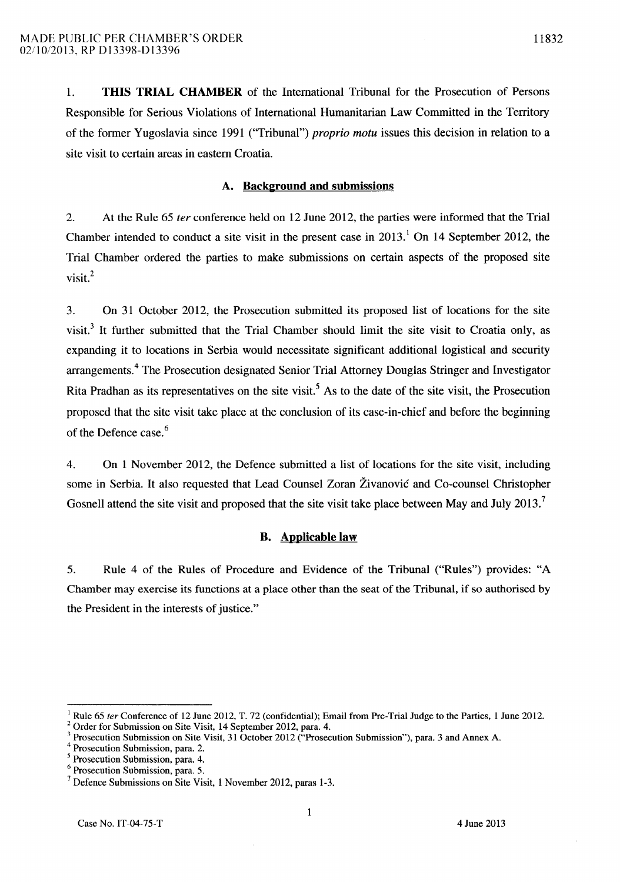1. THIS TRIAL CHAMBER of the International Tribunal for the Prosecution of Persons Responsible for Serious Violations of International Humanitarian Law Committed in the Territory of the former Yugoslavia since 1991 ("Tribunal") *proprio motu* issues this decision in relation to a site visit to certain areas in eastern Croatia.

#### A. Background and submissions

2. At the Rule 65 *ter* conference held on 12 June 2012, the parties were informed that the Trial Chamber intended to conduct a site visit in the present case in  $2013<sup>1</sup>$  On 14 September 2012, the Trial Chamber ordered the parties to make submissions on certain aspects of the proposed site visit.<sup>2</sup>

3. On 31 October 2012, the Prosecution submitted its proposed list of locations for the site visit.<sup>3</sup> It further submitted that the Trial Chamber should limit the site visit to Croatia only, as expanding it to locations in Serbia would necessitate significant additional logistical and security arrangements.4 The Prosecution designated Senior Trial Attorney Douglas Stringer and Investigator Rita Pradhan as its representatives on the site visit.<sup>5</sup> As to the date of the site visit, the Prosecution proposed that the site visit take place at the conclusion of its case-in-chief and before the beginning of the Defence case. 6

4. On 1 November 2012, the Defence submitted a list of locations for the site visit, including some in Serbia. It also requested that Lead Counsel Zoran Zivanovic and Co-counsel Christopher Gosnell attend the site visit and proposed that the site visit take place between May and July 2013.<sup>7</sup>

### B. Applicable law

5. Rule 4 of the Rules of Procedure and Evidence of the Tribunal ("Rules") provides: "A Chamber may exercise its functions at a place other than the seat of the Tribunal, if so authorised by the President in the interests of justice."

Rule 65 ter Conference of 12 June 2012, T. 72 (confidential); Email from Pre-Trial Judge to the Parties, 1 June 2012.

<sup>2</sup>Order for Submission on Site Visit, 14 September 2012, para. 4.

<sup>3</sup> Prosecution Submission on Site Visit, 31 October 2012 ("Prosecution Submission"), para. 3 and Annex A.

Prosecution Submission, para. 2.

Prosecution Submission, para. 4.

Prosecution Submission, para. 5.

<sup>7</sup> Defence Submissions on Site Visit, 1 November 2012, paras 1-3.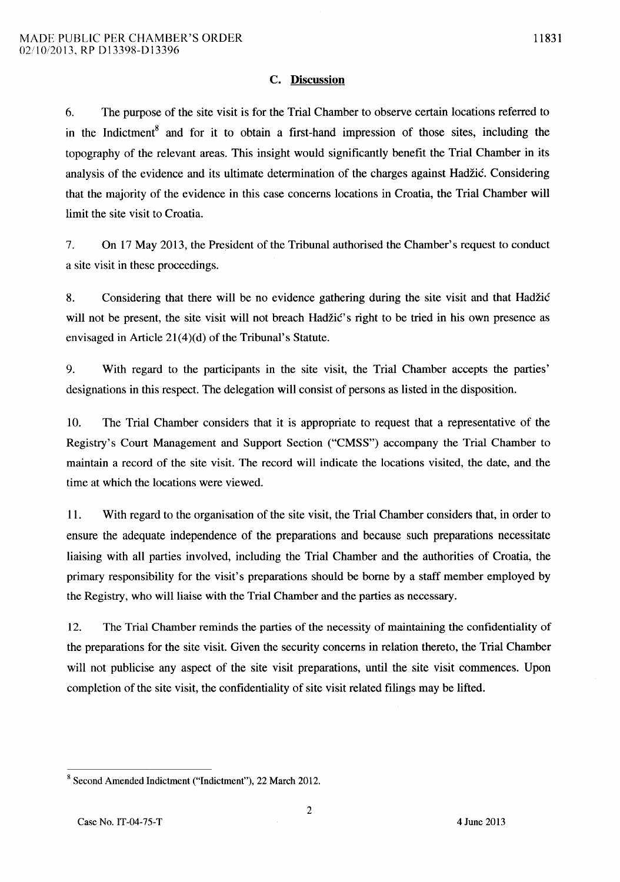6. The purpose of the site visit is for the Trial Chamber to observe certain locations referred to in the Indictment<sup>8</sup> and for it to obtain a first-hand impression of those sites, including the topography of the relevant areas. This insight would significantly benefit the Trial Chamber in its analysis of the evidence and its ultimate determination of the charges against Hadzic. Considering that the majority of the evidence in this case concerns locations in Croatia, the Trial Chamber will limit the site visit to Croatia.

7. On 17 May 2013, the President of the Tribunal authorised the Chamber's request to conduct a site visit in these proceedings.

8. Considering that there will be no evidence gathering during the site visit and that Hadzic will not be present, the site visit will not breach Hadžic's right to be tried in his own presence as envisaged in Article  $21(4)(d)$  of the Tribunal's Statute.

9. With regard to the participants in the site visit, the Trial Chamber accepts the parties' designations in this respect. The delegation will consist of persons as listed in the disposition.

10. The Trial Chamber considers that it is appropriate to request that a representative of the Registry's Court Management and Support Section ("CMSS") accompany the Trial Chamber to maintain a record of the site visit. The record will indicate the locations visited, the date, and the time at which the locations were viewed.

11. With regard to the organisation of the site visit, the Trial Chamber considers that, in order to ensure the adequate independence of the preparations and because such preparations necessitate liaising with all parties involved, including the Trial Chamber and the authorities of Croatia, the primary responsibility for the visit's preparations should be borne by a staff member employed by the Registry, who will liaise with the Trial Chamber and the parties as necessary.

12. The Trial Chamber reminds the parties of the necessity of maintaining the confidentiality of the preparations for the site visit. Given the security concerns in relation thereto, the Trial Chamber will not publicise any aspect of the site visit preparations, until the site visit commences. Upon completion of the site visit, the confidentiality of site visit related filings may be lifted.

<sup>8</sup> Second Amended Indictment ("Indictment"), 22 March 2012.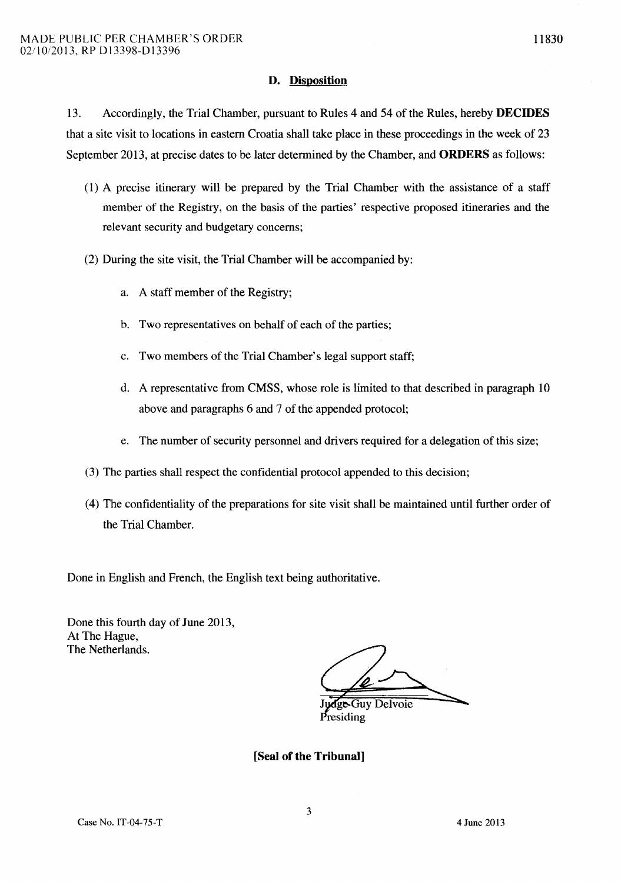## **D. Disposition**

13. Accordingly, the Trial Chamber, pursuant to Rules 4 and 54 of the Rules, hereby **DECIDES**  that a site visit to locations in eastern Croatia shall take place in these proceedings in the week of 23 September 2013, at precise dates to be later determined by the Chamber, and **ORDERS** as follows:

- (1) A precise itinerary will be prepared by the Trial Chamber with the assistance of a staff member of the Registry, on the basis of the parties' respective proposed itineraries and the relevant security and budgetary concerns;
- (2) During the site visit, the Trial Chamber will be accompanied by:
	- a. A staff member of the Registry;
	- b. Two representatives on behalf of each of the parties;
	- c. Two members of the Trial Chamber's legal support staff;
	- d. A representative from CMSS, whose role is limited to that described in paragraph 10 above and paragraphs 6 and 7 of the appended protocol;
	- e. The number of security personnel and drivers required for a delegation of this size;
- (3) The parties shall respect the confidential protocol appended to this decision;
- (4) The confidentiality of the preparations for site visit shall be maintained until further order of the Trial Chamber.

Done in English and French, the English text being authoritative.

Done this fourth day of June 2013, At The Hague, The Netherlands.

ge-Guy Delvoie residing

**[Seal of the Tribunal]** 

11830